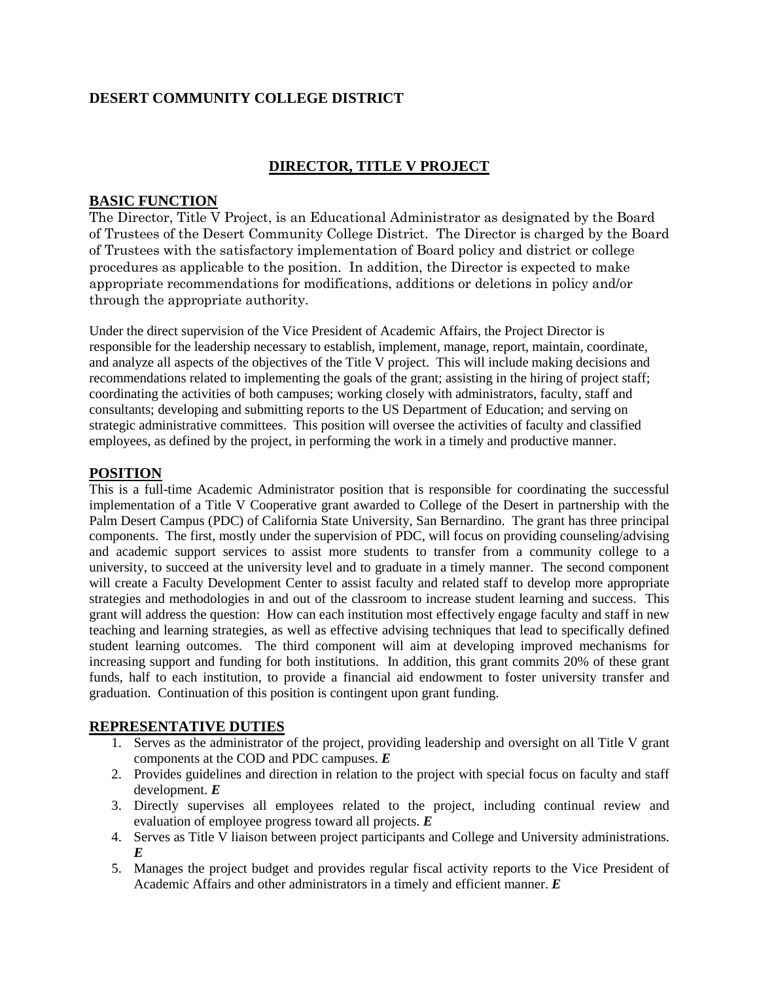# **DESERT COMMUNITY COLLEGE DISTRICT**

## **DIRECTOR, TITLE V PROJECT**

### **BASIC FUNCTION**

The Director, Title V Project, is an Educational Administrator as designated by the Board of Trustees of the Desert Community College District. The Director is charged by the Board of Trustees with the satisfactory implementation of Board policy and district or college procedures as applicable to the position. In addition, the Director is expected to make appropriate recommendations for modifications, additions or deletions in policy and/or through the appropriate authority.

Under the direct supervision of the Vice President of Academic Affairs, the Project Director is responsible for the leadership necessary to establish, implement, manage, report, maintain, coordinate, and analyze all aspects of the objectives of the Title V project. This will include making decisions and recommendations related to implementing the goals of the grant; assisting in the hiring of project staff; coordinating the activities of both campuses; working closely with administrators, faculty, staff and consultants; developing and submitting reports to the US Department of Education; and serving on strategic administrative committees. This position will oversee the activities of faculty and classified employees, as defined by the project, in performing the work in a timely and productive manner.

### **POSITION**

This is a full-time Academic Administrator position that is responsible for coordinating the successful implementation of a Title V Cooperative grant awarded to College of the Desert in partnership with the Palm Desert Campus (PDC) of California State University, San Bernardino. The grant has three principal components. The first, mostly under the supervision of PDC, will focus on providing counseling/advising and academic support services to assist more students to transfer from a community college to a university, to succeed at the university level and to graduate in a timely manner. The second component will create a Faculty Development Center to assist faculty and related staff to develop more appropriate strategies and methodologies in and out of the classroom to increase student learning and success. This grant will address the question: How can each institution most effectively engage faculty and staff in new teaching and learning strategies, as well as effective advising techniques that lead to specifically defined student learning outcomes. The third component will aim at developing improved mechanisms for increasing support and funding for both institutions. In addition, this grant commits 20% of these grant funds, half to each institution, to provide a financial aid endowment to foster university transfer and graduation. Continuation of this position is contingent upon grant funding.

### **REPRESENTATIVE DUTIES**

- 1. Serves as the administrator of the project, providing leadership and oversight on all Title V grant components at the COD and PDC campuses. *E*
- 2. Provides guidelines and direction in relation to the project with special focus on faculty and staff development. *E*
- 3. Directly supervises all employees related to the project, including continual review and evaluation of employee progress toward all projects. *E*
- 4. Serves as Title V liaison between project participants and College and University administrations. *E*
- 5. Manages the project budget and provides regular fiscal activity reports to the Vice President of Academic Affairs and other administrators in a timely and efficient manner. *E*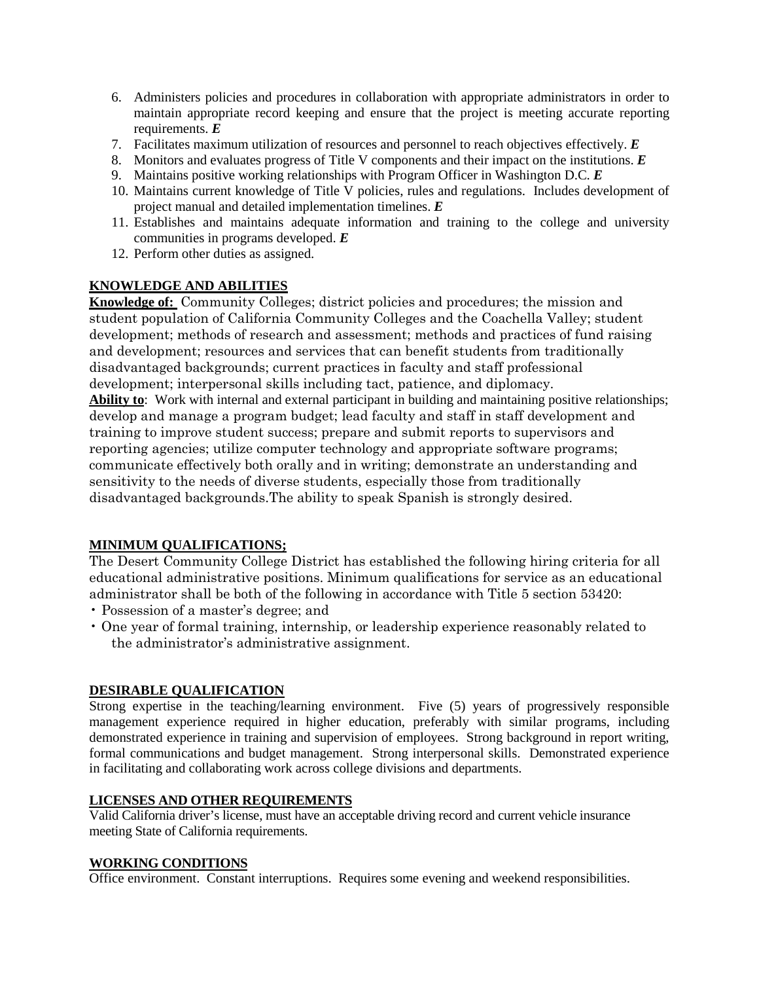- 6. Administers policies and procedures in collaboration with appropriate administrators in order to maintain appropriate record keeping and ensure that the project is meeting accurate reporting requirements. *E*
- 7. Facilitates maximum utilization of resources and personnel to reach objectives effectively. *E*
- 8. Monitors and evaluates progress of Title V components and their impact on the institutions. *E*
- 9. Maintains positive working relationships with Program Officer in Washington D.C. *E*
- 10. Maintains current knowledge of Title V policies, rules and regulations. Includes development of project manual and detailed implementation timelines. *E*
- 11. Establishes and maintains adequate information and training to the college and university communities in programs developed. *E*
- 12. Perform other duties as assigned.

## **KNOWLEDGE AND ABILITIES**

**Knowledge of:** Community Colleges; district policies and procedures; the mission and student population of California Community Colleges and the Coachella Valley; student development; methods of research and assessment; methods and practices of fund raising and development; resources and services that can benefit students from traditionally disadvantaged backgrounds; current practices in faculty and staff professional development; interpersonal skills including tact, patience, and diplomacy. **Ability to**: Work with internal and external participant in building and maintaining positive relationships; develop and manage a program budget; lead faculty and staff in staff development and training to improve student success; prepare and submit reports to supervisors and reporting agencies; utilize computer technology and appropriate software programs; communicate effectively both orally and in writing; demonstrate an understanding and sensitivity to the needs of diverse students, especially those from traditionally

disadvantaged backgrounds.The ability to speak Spanish is strongly desired.

## **MINIMUM QUALIFICATIONS;**

The Desert Community College District has established the following hiring criteria for all educational administrative positions. Minimum qualifications for service as an educational administrator shall be both of the following in accordance with Title 5 section 53420:

- Possession of a master's degree; and
- One year of formal training, internship, or leadership experience reasonably related to the administrator's administrative assignment.

### **DESIRABLE QUALIFICATION**

Strong expertise in the teaching/learning environment. Five (5) years of progressively responsible management experience required in higher education, preferably with similar programs, including demonstrated experience in training and supervision of employees. Strong background in report writing, formal communications and budget management. Strong interpersonal skills. Demonstrated experience in facilitating and collaborating work across college divisions and departments.

### **LICENSES AND OTHER REQUIREMENTS**

Valid California driver's license, must have an acceptable driving record and current vehicle insurance meeting State of California requirements.

## **WORKING CONDITIONS**

Office environment. Constant interruptions. Requires some evening and weekend responsibilities.